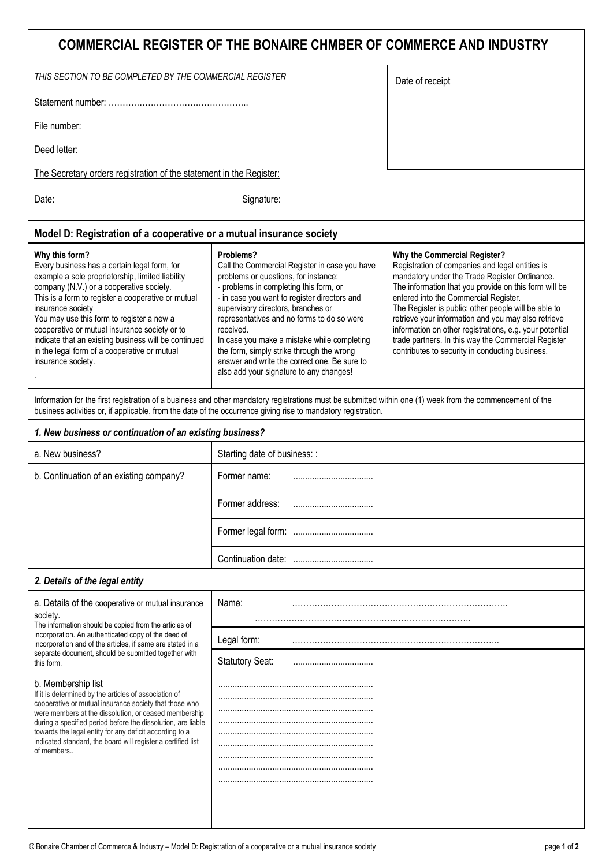| COMMERCIAL REGISTER OF THE BONAIRE CHMBER OF COMMERCE AND INDUSTRY                                                                                                                                                                                                                                                                                                                                                                                                    |                                                                                                                                                                                                                                                                                                                                                                                                                                                                                      |                                                                                                                                                                                                                                                                                                                                                                                                                                                                                                                        |
|-----------------------------------------------------------------------------------------------------------------------------------------------------------------------------------------------------------------------------------------------------------------------------------------------------------------------------------------------------------------------------------------------------------------------------------------------------------------------|--------------------------------------------------------------------------------------------------------------------------------------------------------------------------------------------------------------------------------------------------------------------------------------------------------------------------------------------------------------------------------------------------------------------------------------------------------------------------------------|------------------------------------------------------------------------------------------------------------------------------------------------------------------------------------------------------------------------------------------------------------------------------------------------------------------------------------------------------------------------------------------------------------------------------------------------------------------------------------------------------------------------|
| THIS SECTION TO BE COMPLETED BY THE COMMERCIAL REGISTER                                                                                                                                                                                                                                                                                                                                                                                                               |                                                                                                                                                                                                                                                                                                                                                                                                                                                                                      | Date of receipt                                                                                                                                                                                                                                                                                                                                                                                                                                                                                                        |
|                                                                                                                                                                                                                                                                                                                                                                                                                                                                       |                                                                                                                                                                                                                                                                                                                                                                                                                                                                                      |                                                                                                                                                                                                                                                                                                                                                                                                                                                                                                                        |
| File number:                                                                                                                                                                                                                                                                                                                                                                                                                                                          |                                                                                                                                                                                                                                                                                                                                                                                                                                                                                      |                                                                                                                                                                                                                                                                                                                                                                                                                                                                                                                        |
| Deed letter:                                                                                                                                                                                                                                                                                                                                                                                                                                                          |                                                                                                                                                                                                                                                                                                                                                                                                                                                                                      |                                                                                                                                                                                                                                                                                                                                                                                                                                                                                                                        |
| The Secretary orders registration of the statement in the Register:                                                                                                                                                                                                                                                                                                                                                                                                   |                                                                                                                                                                                                                                                                                                                                                                                                                                                                                      |                                                                                                                                                                                                                                                                                                                                                                                                                                                                                                                        |
| Signature:<br>Date:                                                                                                                                                                                                                                                                                                                                                                                                                                                   |                                                                                                                                                                                                                                                                                                                                                                                                                                                                                      |                                                                                                                                                                                                                                                                                                                                                                                                                                                                                                                        |
| Model D: Registration of a cooperative or a mutual insurance society                                                                                                                                                                                                                                                                                                                                                                                                  |                                                                                                                                                                                                                                                                                                                                                                                                                                                                                      |                                                                                                                                                                                                                                                                                                                                                                                                                                                                                                                        |
| Why this form?<br>Every business has a certain legal form, for<br>example a sole proprietorship, limited liability<br>company (N.V.) or a cooperative society.<br>This is a form to register a cooperative or mutual<br>insurance society<br>You may use this form to register a new a<br>cooperative or mutual insurance society or to<br>indicate that an existing business will be continued<br>in the legal form of a cooperative or mutual<br>insurance society. | Problems?<br>Call the Commercial Register in case you have<br>problems or questions, for instance:<br>- problems in completing this form, or<br>- in case you want to register directors and<br>supervisory directors, branches or<br>representatives and no forms to do so were<br>received.<br>In case you make a mistake while completing<br>the form, simply strike through the wrong<br>answer and write the correct one. Be sure to<br>also add your signature to any changes! | Why the Commercial Register?<br>Registration of companies and legal entities is<br>mandatory under the Trade Register Ordinance.<br>The information that you provide on this form will be<br>entered into the Commercial Register.<br>The Register is public: other people will be able to<br>retrieve your information and you may also retrieve<br>information on other registrations, e.g. your potential<br>trade partners. In this way the Commercial Register<br>contributes to security in conducting business. |
| Information for the first registration of a business and other mandatory registrations must be submitted within one (1) week from the commencement of the<br>business activities or, if applicable, from the date of the occurrence giving rise to mandatory registration.                                                                                                                                                                                            |                                                                                                                                                                                                                                                                                                                                                                                                                                                                                      |                                                                                                                                                                                                                                                                                                                                                                                                                                                                                                                        |
| 1. New business or continuation of an existing business?                                                                                                                                                                                                                                                                                                                                                                                                              |                                                                                                                                                                                                                                                                                                                                                                                                                                                                                      |                                                                                                                                                                                                                                                                                                                                                                                                                                                                                                                        |
| a. New business?                                                                                                                                                                                                                                                                                                                                                                                                                                                      | Starting date of business: :                                                                                                                                                                                                                                                                                                                                                                                                                                                         |                                                                                                                                                                                                                                                                                                                                                                                                                                                                                                                        |
| b. Continuation of an existing company?                                                                                                                                                                                                                                                                                                                                                                                                                               | Former name:                                                                                                                                                                                                                                                                                                                                                                                                                                                                         |                                                                                                                                                                                                                                                                                                                                                                                                                                                                                                                        |
|                                                                                                                                                                                                                                                                                                                                                                                                                                                                       | Former address:                                                                                                                                                                                                                                                                                                                                                                                                                                                                      |                                                                                                                                                                                                                                                                                                                                                                                                                                                                                                                        |
|                                                                                                                                                                                                                                                                                                                                                                                                                                                                       |                                                                                                                                                                                                                                                                                                                                                                                                                                                                                      |                                                                                                                                                                                                                                                                                                                                                                                                                                                                                                                        |
|                                                                                                                                                                                                                                                                                                                                                                                                                                                                       |                                                                                                                                                                                                                                                                                                                                                                                                                                                                                      |                                                                                                                                                                                                                                                                                                                                                                                                                                                                                                                        |
| 2. Details of the legal entity                                                                                                                                                                                                                                                                                                                                                                                                                                        |                                                                                                                                                                                                                                                                                                                                                                                                                                                                                      |                                                                                                                                                                                                                                                                                                                                                                                                                                                                                                                        |
| a. Details of the cooperative or mutual insurance<br>society.                                                                                                                                                                                                                                                                                                                                                                                                         | Name:                                                                                                                                                                                                                                                                                                                                                                                                                                                                                |                                                                                                                                                                                                                                                                                                                                                                                                                                                                                                                        |
| The information should be copied from the articles of<br>incorporation. An authenticated copy of the deed of<br>incorporation and of the articles, if same are stated in a                                                                                                                                                                                                                                                                                            | Legal form:                                                                                                                                                                                                                                                                                                                                                                                                                                                                          |                                                                                                                                                                                                                                                                                                                                                                                                                                                                                                                        |
| separate document, should be submitted together with<br>this form.                                                                                                                                                                                                                                                                                                                                                                                                    | <b>Statutory Seat:</b>                                                                                                                                                                                                                                                                                                                                                                                                                                                               |                                                                                                                                                                                                                                                                                                                                                                                                                                                                                                                        |
| b. Membership list<br>If it is determined by the articles of association of<br>cooperative or mutual insurance society that those who<br>were members at the dissolution, or ceased membership<br>during a specified period before the dissolution, are liable<br>towards the legal entity for any deficit according to a<br>indicated standard, the board will register a certified list<br>of members                                                               |                                                                                                                                                                                                                                                                                                                                                                                                                                                                                      |                                                                                                                                                                                                                                                                                                                                                                                                                                                                                                                        |